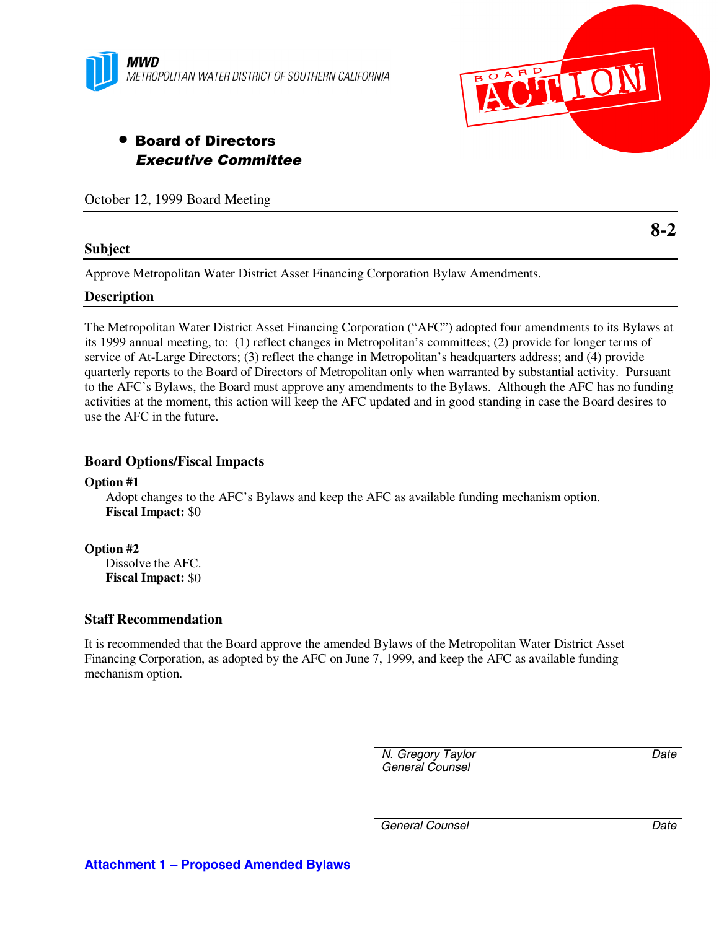



# • Board of Directors Executive Committee

October 12, 1999 Board Meeting

## **Subject**

**8-2**

Approve Metropolitan Water District Asset Financing Corporation Bylaw Amendments.

## **Description**

The Metropolitan Water District Asset Financing Corporation ("AFC") adopted four amendments to its Bylaws at its 1999 annual meeting, to: (1) reflect changes in Metropolitan's committees; (2) provide for longer terms of service of At-Large Directors; (3) reflect the change in Metropolitan's headquarters address; and (4) provide quarterly reports to the Board of Directors of Metropolitan only when warranted by substantial activity. Pursuant to the AFC's Bylaws, the Board must approve any amendments to the Bylaws. Although the AFC has no funding activities at the moment, this action will keep the AFC updated and in good standing in case the Board desires to use the AFC in the future.

## **Board Options/Fiscal Impacts**

## **Option #1**

Adopt changes to the AFC's Bylaws and keep the AFC as available funding mechanism option. **Fiscal Impact:** \$0

**Option #2** Dissolve the AFC. **Fiscal Impact:** \$0

## **Staff Recommendation**

It is recommended that the Board approve the amended Bylaws of the Metropolitan Water District Asset Financing Corporation, as adopted by the AFC on June 7, 1999, and keep the AFC as available funding mechanism option.

> *N. Gregory Taylor General Counsel*

*Date*

*General Counsel Date*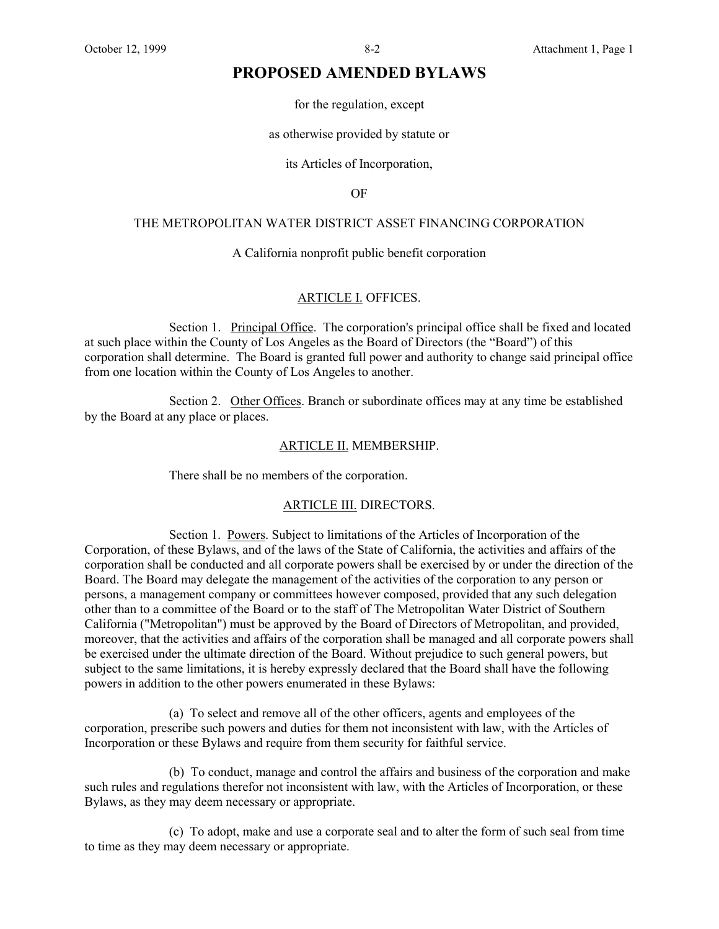## **PROPOSED AMENDED BYLAWS**

for the regulation, except

as otherwise provided by statute or

its Articles of Incorporation,

OF

#### THE METROPOLITAN WATER DISTRICT ASSET FINANCING CORPORATION

### A California nonprofit public benefit corporation

#### ARTICLE I. OFFICES.

Section 1. Principal Office. The corporation's principal office shall be fixed and located at such place within the County of Los Angeles as the Board of Directors (the "Board") of this corporation shall determine. The Board is granted full power and authority to change said principal office from one location within the County of Los Angeles to another.

Section 2. Other Offices. Branch or subordinate offices may at any time be established by the Board at any place or places.

#### ARTICLE II. MEMBERSHIP.

There shall be no members of the corporation.

#### ARTICLE III. DIRECTORS.

Section 1. Powers. Subject to limitations of the Articles of Incorporation of the Corporation, of these Bylaws, and of the laws of the State of California, the activities and affairs of the corporation shall be conducted and all corporate powers shall be exercised by or under the direction of the Board. The Board may delegate the management of the activities of the corporation to any person or persons, a management company or committees however composed, provided that any such delegation other than to a committee of the Board or to the staff of The Metropolitan Water District of Southern California ("Metropolitan") must be approved by the Board of Directors of Metropolitan, and provided, moreover, that the activities and affairs of the corporation shall be managed and all corporate powers shall be exercised under the ultimate direction of the Board. Without prejudice to such general powers, but subject to the same limitations, it is hereby expressly declared that the Board shall have the following powers in addition to the other powers enumerated in these Bylaws:

(a) To select and remove all of the other officers, agents and employees of the corporation, prescribe such powers and duties for them not inconsistent with law, with the Articles of Incorporation or these Bylaws and require from them security for faithful service.

(b) To conduct, manage and control the affairs and business of the corporation and make such rules and regulations therefor not inconsistent with law, with the Articles of Incorporation, or these Bylaws, as they may deem necessary or appropriate.

(c) To adopt, make and use a corporate seal and to alter the form of such seal from time to time as they may deem necessary or appropriate.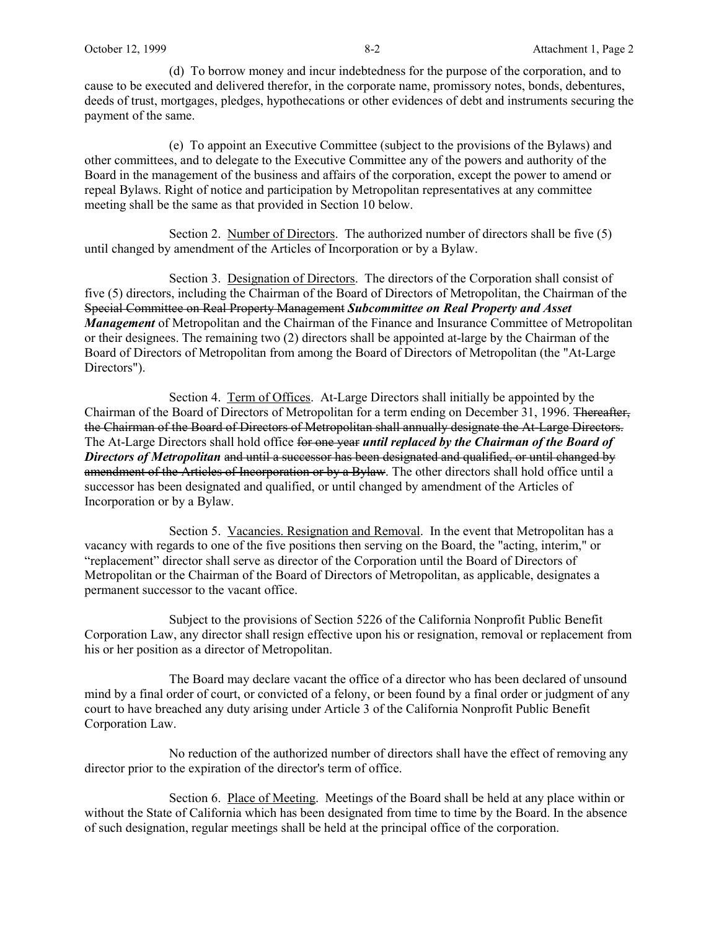(d) To borrow money and incur indebtedness for the purpose of the corporation, and to cause to be executed and delivered therefor, in the corporate name, promissory notes, bonds, debentures, deeds of trust, mortgages, pledges, hypothecations or other evidences of debt and instruments securing the payment of the same.

(e) To appoint an Executive Committee (subject to the provisions of the Bylaws) and other committees, and to delegate to the Executive Committee any of the powers and authority of the Board in the management of the business and affairs of the corporation, except the power to amend or repeal Bylaws. Right of notice and participation by Metropolitan representatives at any committee meeting shall be the same as that provided in Section 10 below.

Section 2. Number of Directors. The authorized number of directors shall be five (5) until changed by amendment of the Articles of Incorporation or by a Bylaw.

Section 3. Designation of Directors. The directors of the Corporation shall consist of five (5) directors, including the Chairman of the Board of Directors of Metropolitan, the Chairman of the Special Committee on Real Property Management *Subcommittee on Real Property and Asset Management* of Metropolitan and the Chairman of the Finance and Insurance Committee of Metropolitan or their designees. The remaining two (2) directors shall be appointed at-large by the Chairman of the Board of Directors of Metropolitan from among the Board of Directors of Metropolitan (the "At-Large Directors").

Section 4. Term of Offices. At-Large Directors shall initially be appointed by the Chairman of the Board of Directors of Metropolitan for a term ending on December 31, 1996. Thereafter, the Chairman of the Board of Directors of Metropolitan shall annually designate the At-Large Directors. The At-Large Directors shall hold office for one year *until replaced by the Chairman of the Board of Directors of Metropolitan* and until a successor has been designated and qualified, or until changed by amendment of the Articles of Incorporation or by a Bylaw. The other directors shall hold office until a successor has been designated and qualified, or until changed by amendment of the Articles of Incorporation or by a Bylaw.

Section 5. Vacancies. Resignation and Removal. In the event that Metropolitan has a vacancy with regards to one of the five positions then serving on the Board, the "acting, interim," or "replacement" director shall serve as director of the Corporation until the Board of Directors of Metropolitan or the Chairman of the Board of Directors of Metropolitan, as applicable, designates a permanent successor to the vacant office.

Subject to the provisions of Section 5226 of the California Nonprofit Public Benefit Corporation Law, any director shall resign effective upon his or resignation, removal or replacement from his or her position as a director of Metropolitan.

The Board may declare vacant the office of a director who has been declared of unsound mind by a final order of court, or convicted of a felony, or been found by a final order or judgment of any court to have breached any duty arising under Article 3 of the California Nonprofit Public Benefit Corporation Law.

No reduction of the authorized number of directors shall have the effect of removing any director prior to the expiration of the director's term of office.

Section 6. Place of Meeting. Meetings of the Board shall be held at any place within or without the State of California which has been designated from time to time by the Board. In the absence of such designation, regular meetings shall be held at the principal office of the corporation.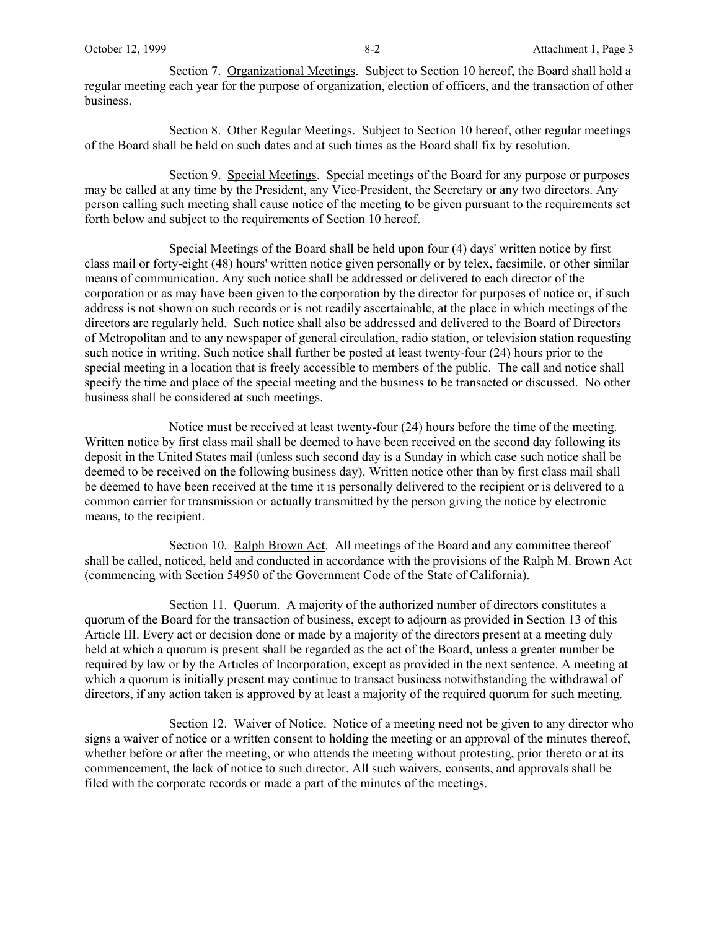Section 7. Organizational Meetings. Subject to Section 10 hereof, the Board shall hold a regular meeting each year for the purpose of organization, election of officers, and the transaction of other business.

Section 8. Other Regular Meetings. Subject to Section 10 hereof, other regular meetings of the Board shall be held on such dates and at such times as the Board shall fix by resolution.

Section 9. Special Meetings. Special meetings of the Board for any purpose or purposes may be called at any time by the President, any Vice-President, the Secretary or any two directors. Any person calling such meeting shall cause notice of the meeting to be given pursuant to the requirements set forth below and subject to the requirements of Section 10 hereof.

Special Meetings of the Board shall be held upon four (4) days' written notice by first class mail or forty-eight (48) hours' written notice given personally or by telex, facsimile, or other similar means of communication. Any such notice shall be addressed or delivered to each director of the corporation or as may have been given to the corporation by the director for purposes of notice or, if such address is not shown on such records or is not readily ascertainable, at the place in which meetings of the directors are regularly held. Such notice shall also be addressed and delivered to the Board of Directors of Metropolitan and to any newspaper of general circulation, radio station, or television station requesting such notice in writing. Such notice shall further be posted at least twenty-four (24) hours prior to the special meeting in a location that is freely accessible to members of the public. The call and notice shall specify the time and place of the special meeting and the business to be transacted or discussed. No other business shall be considered at such meetings.

Notice must be received at least twenty-four (24) hours before the time of the meeting. Written notice by first class mail shall be deemed to have been received on the second day following its deposit in the United States mail (unless such second day is a Sunday in which case such notice shall be deemed to be received on the following business day). Written notice other than by first class mail shall be deemed to have been received at the time it is personally delivered to the recipient or is delivered to a common carrier for transmission or actually transmitted by the person giving the notice by electronic means, to the recipient.

Section 10. Ralph Brown Act. All meetings of the Board and any committee thereof shall be called, noticed, held and conducted in accordance with the provisions of the Ralph M. Brown Act (commencing with Section 54950 of the Government Code of the State of California).

Section 11. Quorum. A majority of the authorized number of directors constitutes a quorum of the Board for the transaction of business, except to adjourn as provided in Section 13 of this Article III. Every act or decision done or made by a majority of the directors present at a meeting duly held at which a quorum is present shall be regarded as the act of the Board, unless a greater number be required by law or by the Articles of Incorporation, except as provided in the next sentence. A meeting at which a quorum is initially present may continue to transact business notwithstanding the withdrawal of directors, if any action taken is approved by at least a majority of the required quorum for such meeting.

Section 12. Waiver of Notice. Notice of a meeting need not be given to any director who signs a waiver of notice or a written consent to holding the meeting or an approval of the minutes thereof, whether before or after the meeting, or who attends the meeting without protesting, prior thereto or at its commencement, the lack of notice to such director. All such waivers, consents, and approvals shall be filed with the corporate records or made a part of the minutes of the meetings.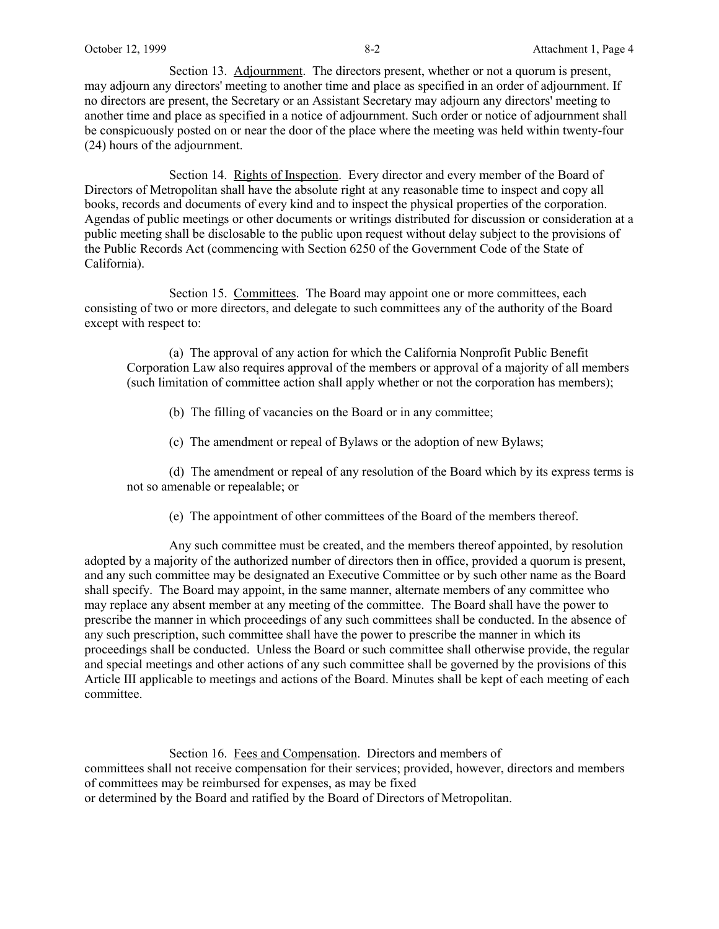Section 14. Rights of Inspection. Every director and every member of the Board of Directors of Metropolitan shall have the absolute right at any reasonable time to inspect and copy all books, records and documents of every kind and to inspect the physical properties of the corporation. Agendas of public meetings or other documents or writings distributed for discussion or consideration at a public meeting shall be disclosable to the public upon request without delay subject to the provisions of the Public Records Act (commencing with Section 6250 of the Government Code of the State of California).

Section 15. Committees. The Board may appoint one or more committees, each consisting of two or more directors, and delegate to such committees any of the authority of the Board except with respect to:

(a) The approval of any action for which the California Nonprofit Public Benefit Corporation Law also requires approval of the members or approval of a majority of all members (such limitation of committee action shall apply whether or not the corporation has members);

(b) The filling of vacancies on the Board or in any committee;

(c) The amendment or repeal of Bylaws or the adoption of new Bylaws;

(d) The amendment or repeal of any resolution of the Board which by its express terms is not so amenable or repealable; or

(e) The appointment of other committees of the Board of the members thereof.

Any such committee must be created, and the members thereof appointed, by resolution adopted by a majority of the authorized number of directors then in office, provided a quorum is present, and any such committee may be designated an Executive Committee or by such other name as the Board shall specify. The Board may appoint, in the same manner, alternate members of any committee who may replace any absent member at any meeting of the committee. The Board shall have the power to prescribe the manner in which proceedings of any such committees shall be conducted. In the absence of any such prescription, such committee shall have the power to prescribe the manner in which its proceedings shall be conducted. Unless the Board or such committee shall otherwise provide, the regular and special meetings and other actions of any such committee shall be governed by the provisions of this Article III applicable to meetings and actions of the Board. Minutes shall be kept of each meeting of each committee.

Section 16. Fees and Compensation. Directors and members of committees shall not receive compensation for their services; provided, however, directors and members of committees may be reimbursed for expenses, as may be fixed or determined by the Board and ratified by the Board of Directors of Metropolitan.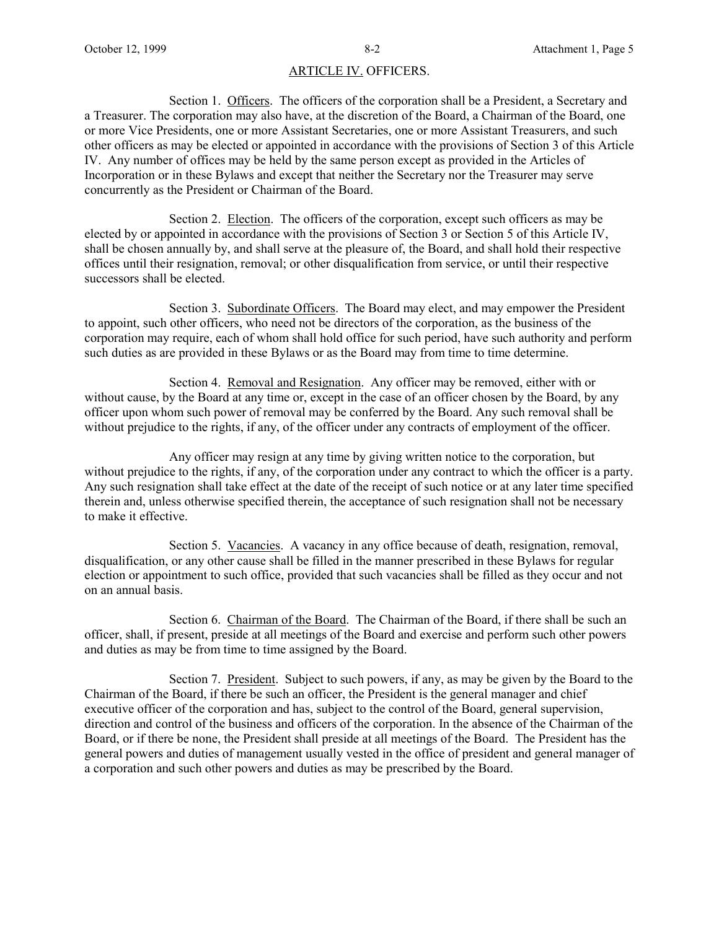## ARTICLE IV. OFFICERS.

Section 1. Officers. The officers of the corporation shall be a President, a Secretary and a Treasurer. The corporation may also have, at the discretion of the Board, a Chairman of the Board, one or more Vice Presidents, one or more Assistant Secretaries, one or more Assistant Treasurers, and such other officers as may be elected or appointed in accordance with the provisions of Section 3 of this Article IV. Any number of offices may be held by the same person except as provided in the Articles of Incorporation or in these Bylaws and except that neither the Secretary nor the Treasurer may serve concurrently as the President or Chairman of the Board.

Section 2. Election. The officers of the corporation, except such officers as may be elected by or appointed in accordance with the provisions of Section 3 or Section 5 of this Article IV, shall be chosen annually by, and shall serve at the pleasure of, the Board, and shall hold their respective offices until their resignation, removal; or other disqualification from service, or until their respective successors shall be elected.

Section 3. Subordinate Officers. The Board may elect, and may empower the President to appoint, such other officers, who need not be directors of the corporation, as the business of the corporation may require, each of whom shall hold office for such period, have such authority and perform such duties as are provided in these Bylaws or as the Board may from time to time determine.

Section 4. Removal and Resignation. Any officer may be removed, either with or without cause, by the Board at any time or, except in the case of an officer chosen by the Board, by any officer upon whom such power of removal may be conferred by the Board. Any such removal shall be without prejudice to the rights, if any, of the officer under any contracts of employment of the officer.

Any officer may resign at any time by giving written notice to the corporation, but without prejudice to the rights, if any, of the corporation under any contract to which the officer is a party. Any such resignation shall take effect at the date of the receipt of such notice or at any later time specified therein and, unless otherwise specified therein, the acceptance of such resignation shall not be necessary to make it effective.

Section 5. Vacancies. A vacancy in any office because of death, resignation, removal, disqualification, or any other cause shall be filled in the manner prescribed in these Bylaws for regular election or appointment to such office, provided that such vacancies shall be filled as they occur and not on an annual basis.

Section 6. Chairman of the Board. The Chairman of the Board, if there shall be such an officer, shall, if present, preside at all meetings of the Board and exercise and perform such other powers and duties as may be from time to time assigned by the Board.

Section 7. President. Subject to such powers, if any, as may be given by the Board to the Chairman of the Board, if there be such an officer, the President is the general manager and chief executive officer of the corporation and has, subject to the control of the Board, general supervision, direction and control of the business and officers of the corporation. In the absence of the Chairman of the Board, or if there be none, the President shall preside at all meetings of the Board. The President has the general powers and duties of management usually vested in the office of president and general manager of a corporation and such other powers and duties as may be prescribed by the Board.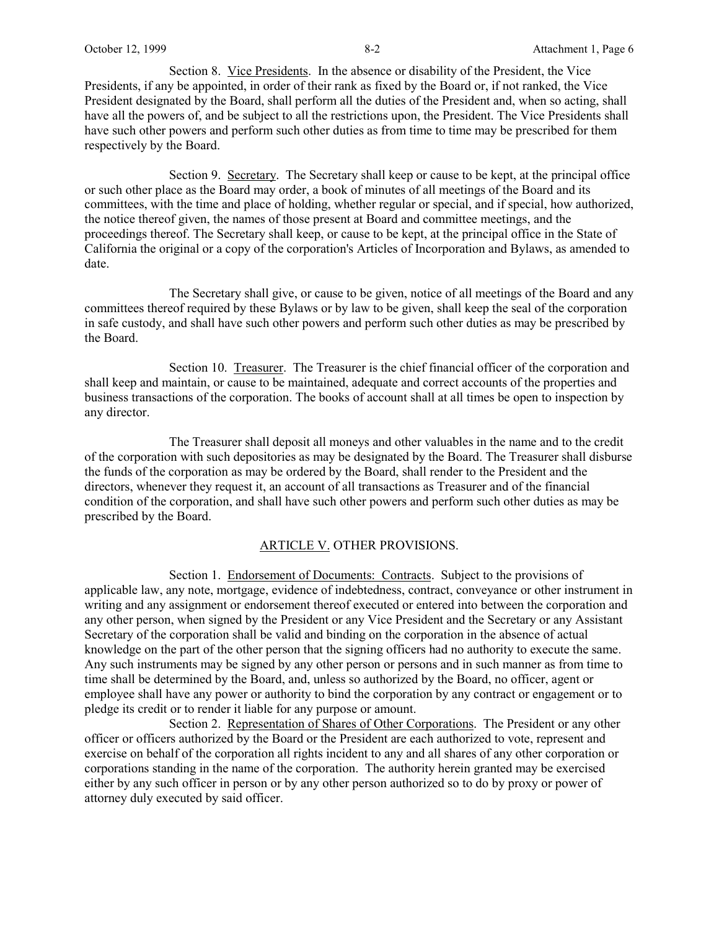Section 8. Vice Presidents. In the absence or disability of the President, the Vice Presidents, if any be appointed, in order of their rank as fixed by the Board or, if not ranked, the Vice President designated by the Board, shall perform all the duties of the President and, when so acting, shall have all the powers of, and be subject to all the restrictions upon, the President. The Vice Presidents shall have such other powers and perform such other duties as from time to time may be prescribed for them respectively by the Board.

Section 9. Secretary. The Secretary shall keep or cause to be kept, at the principal office or such other place as the Board may order, a book of minutes of all meetings of the Board and its committees, with the time and place of holding, whether regular or special, and if special, how authorized, the notice thereof given, the names of those present at Board and committee meetings, and the proceedings thereof. The Secretary shall keep, or cause to be kept, at the principal office in the State of California the original or a copy of the corporation's Articles of Incorporation and Bylaws, as amended to date.

The Secretary shall give, or cause to be given, notice of all meetings of the Board and any committees thereof required by these Bylaws or by law to be given, shall keep the seal of the corporation in safe custody, and shall have such other powers and perform such other duties as may be prescribed by the Board.

Section 10. Treasurer. The Treasurer is the chief financial officer of the corporation and shall keep and maintain, or cause to be maintained, adequate and correct accounts of the properties and business transactions of the corporation. The books of account shall at all times be open to inspection by any director.

The Treasurer shall deposit all moneys and other valuables in the name and to the credit of the corporation with such depositories as may be designated by the Board. The Treasurer shall disburse the funds of the corporation as may be ordered by the Board, shall render to the President and the directors, whenever they request it, an account of all transactions as Treasurer and of the financial condition of the corporation, and shall have such other powers and perform such other duties as may be prescribed by the Board.

## ARTICLE V. OTHER PROVISIONS.

Section 1. Endorsement of Documents: Contracts. Subject to the provisions of applicable law, any note, mortgage, evidence of indebtedness, contract, conveyance or other instrument in writing and any assignment or endorsement thereof executed or entered into between the corporation and any other person, when signed by the President or any Vice President and the Secretary or any Assistant Secretary of the corporation shall be valid and binding on the corporation in the absence of actual knowledge on the part of the other person that the signing officers had no authority to execute the same. Any such instruments may be signed by any other person or persons and in such manner as from time to time shall be determined by the Board, and, unless so authorized by the Board, no officer, agent or employee shall have any power or authority to bind the corporation by any contract or engagement or to pledge its credit or to render it liable for any purpose or amount.

Section 2. Representation of Shares of Other Corporations. The President or any other officer or officers authorized by the Board or the President are each authorized to vote, represent and exercise on behalf of the corporation all rights incident to any and all shares of any other corporation or corporations standing in the name of the corporation. The authority herein granted may be exercised either by any such officer in person or by any other person authorized so to do by proxy or power of attorney duly executed by said officer.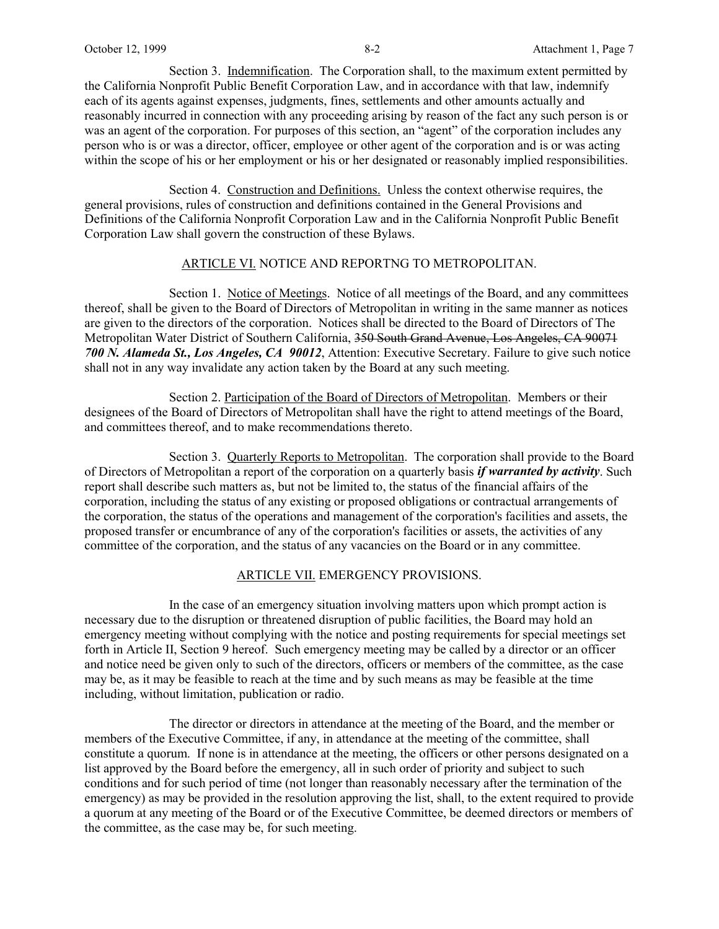Section 3. Indemnification. The Corporation shall, to the maximum extent permitted by the California Nonprofit Public Benefit Corporation Law, and in accordance with that law, indemnify each of its agents against expenses, judgments, fines, settlements and other amounts actually and reasonably incurred in connection with any proceeding arising by reason of the fact any such person is or was an agent of the corporation. For purposes of this section, an "agent" of the corporation includes any person who is or was a director, officer, employee or other agent of the corporation and is or was acting within the scope of his or her employment or his or her designated or reasonably implied responsibilities.

Section 4. Construction and Definitions. Unless the context otherwise requires, the general provisions, rules of construction and definitions contained in the General Provisions and Definitions of the California Nonprofit Corporation Law and in the California Nonprofit Public Benefit Corporation Law shall govern the construction of these Bylaws.

## ARTICLE VI. NOTICE AND REPORTNG TO METROPOLITAN.

Section 1. Notice of Meetings. Notice of all meetings of the Board, and any committees thereof, shall be given to the Board of Directors of Metropolitan in writing in the same manner as notices are given to the directors of the corporation. Notices shall be directed to the Board of Directors of The Metropolitan Water District of Southern California, 350 South Grand Avenue, Los Angeles, CA 90071 *700 N. Alameda St., Los Angeles, CA 90012*, Attention: Executive Secretary. Failure to give such notice shall not in any way invalidate any action taken by the Board at any such meeting.

Section 2. Participation of the Board of Directors of Metropolitan. Members or their designees of the Board of Directors of Metropolitan shall have the right to attend meetings of the Board, and committees thereof, and to make recommendations thereto.

Section 3. Quarterly Reports to Metropolitan. The corporation shall provide to the Board of Directors of Metropolitan a report of the corporation on a quarterly basis *if warranted by activity*. Such report shall describe such matters as, but not be limited to, the status of the financial affairs of the corporation, including the status of any existing or proposed obligations or contractual arrangements of the corporation, the status of the operations and management of the corporation's facilities and assets, the proposed transfer or encumbrance of any of the corporation's facilities or assets, the activities of any committee of the corporation, and the status of any vacancies on the Board or in any committee.

## ARTICLE VII. EMERGENCY PROVISIONS.

In the case of an emergency situation involving matters upon which prompt action is necessary due to the disruption or threatened disruption of public facilities, the Board may hold an emergency meeting without complying with the notice and posting requirements for special meetings set forth in Article II, Section 9 hereof. Such emergency meeting may be called by a director or an officer and notice need be given only to such of the directors, officers or members of the committee, as the case may be, as it may be feasible to reach at the time and by such means as may be feasible at the time including, without limitation, publication or radio.

The director or directors in attendance at the meeting of the Board, and the member or members of the Executive Committee, if any, in attendance at the meeting of the committee, shall constitute a quorum. If none is in attendance at the meeting, the officers or other persons designated on a list approved by the Board before the emergency, all in such order of priority and subject to such conditions and for such period of time (not longer than reasonably necessary after the termination of the emergency) as may be provided in the resolution approving the list, shall, to the extent required to provide a quorum at any meeting of the Board or of the Executive Committee, be deemed directors or members of the committee, as the case may be, for such meeting.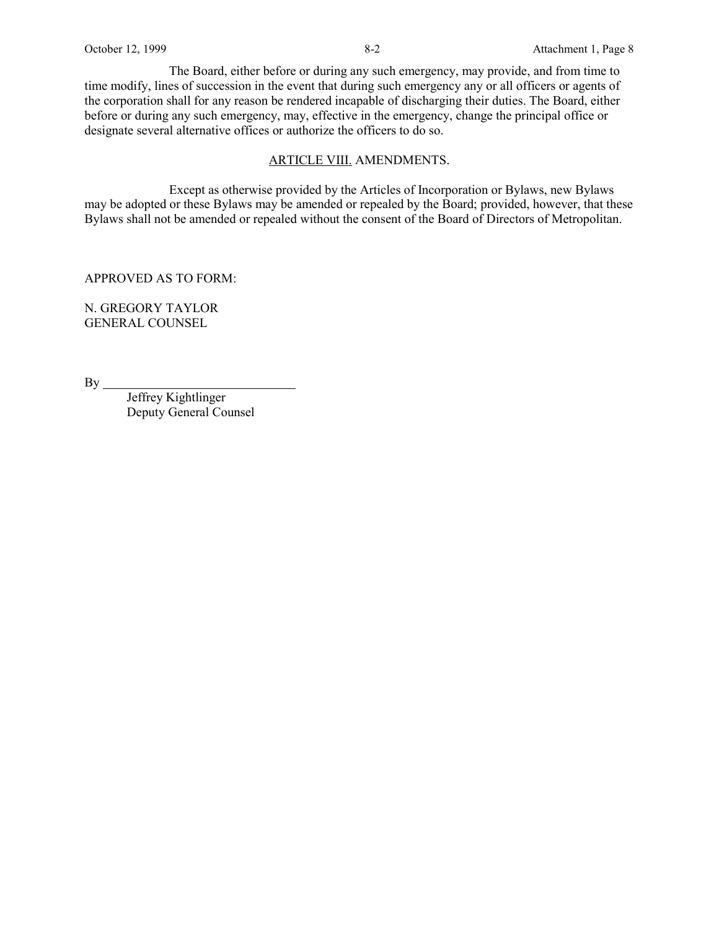The Board, either before or during any such emergency, may provide, and from time to time modify, lines of succession in the event that during such emergency any or all officers or agents of the corporation shall for any reason be rendered incapable of discharging their duties. The Board, either before or during any such emergency, may, effective in the emergency, change the principal office or designate several alternative offices or authorize the officers to do so.

### ARTICLE VIII. AMENDMENTS.

Except as otherwise provided by the Articles of Incorporation or Bylaws, new Bylaws may be adopted or these Bylaws may be amended or repealed by the Board; provided, however, that these Bylaws shall not be amended or repealed without the consent of the Board of Directors of Metropolitan.

APPROVED AS TO FORM:

N. GREGORY TAYLOR GENERAL COUNSEL

By.

Jeffrey Kightlinger Deputy General Counsel